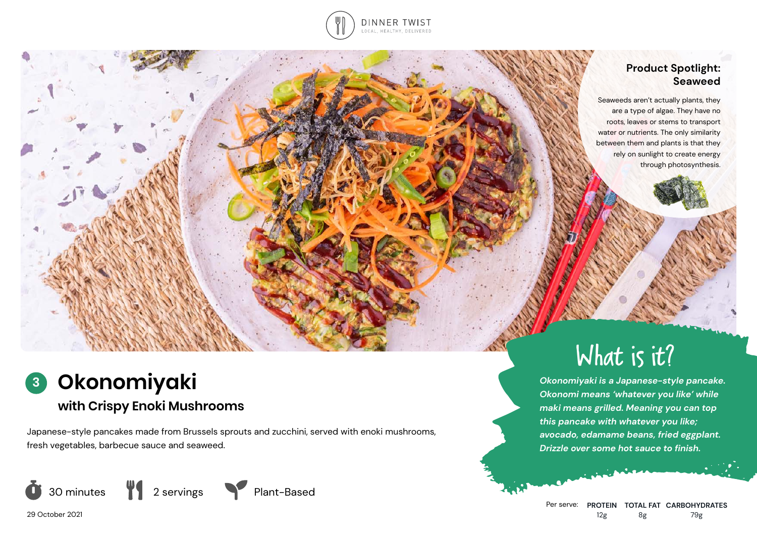

# **Product Spotlight: Seaweed**

Seaweeds aren't actually plants, they are a type of algae. They have no roots, leaves or stems to transport water or nutrients. The only similarity between them and plants is that they rely on sunlight to create energy through photosynthesis.

# **Okonomiyaki 3**

# **with Crispy Enoki Mushrooms**

Japanese-style pancakes made from Brussels sprouts and zucchini, served with enoki mushrooms, fresh vegetables, barbecue sauce and seaweed.



# What is it?

*Okonomiyaki is a Japanese-style pancake. Okonomi means 'whatever you like' while maki means grilled. Meaning you can top this pancake with whatever you like; avocado, edamame beans, fried eggplant. Drizzle over some hot sauce to finish.*